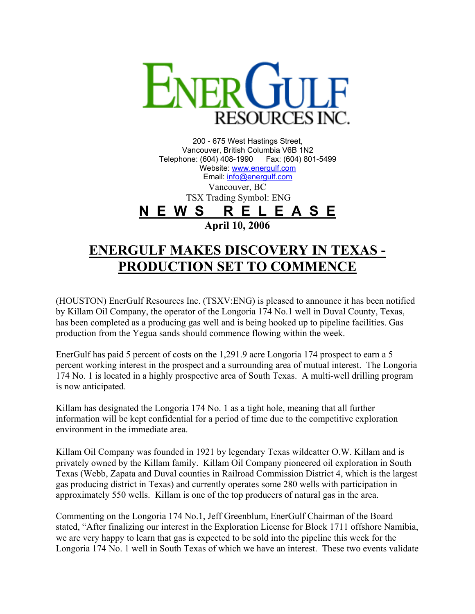

200 - 675 West Hastings Street, Vancouver, British Columbia V6B 1N2 Telephone: (604) 408-1990 Fax: (604) 801-5499 Website: [www.energulf.com](http://www.energulf.com/) Email: [info@energulf.com](mailto:info@energulf.com) Vancouver, BC TSX Trading Symbol: ENG **N E W S R E L E A S E April 10, 2006** 

## **ENERGULF MAKES DISCOVERY IN TEXAS - PRODUCTION SET TO COMMENCE**

(HOUSTON) EnerGulf Resources Inc. (TSXV:ENG) is pleased to announce it has been notified by Killam Oil Company, the operator of the Longoria 174 No.1 well in Duval County, Texas, has been completed as a producing gas well and is being hooked up to pipeline facilities. Gas production from the Yegua sands should commence flowing within the week.

EnerGulf has paid 5 percent of costs on the 1,291.9 acre Longoria 174 prospect to earn a 5 percent working interest in the prospect and a surrounding area of mutual interest. The Longoria 174 No. 1 is located in a highly prospective area of South Texas. A multi-well drilling program is now anticipated.

Killam has designated the Longoria 174 No. 1 as a tight hole, meaning that all further information will be kept confidential for a period of time due to the competitive exploration environment in the immediate area.

Killam Oil Company was founded in 1921 by legendary Texas wildcatter O.W. Killam and is privately owned by the Killam family. Killam Oil Company pioneered oil exploration in South Texas (Webb, Zapata and Duval counties in Railroad Commission District 4, which is the largest gas producing district in Texas) and currently operates some 280 wells with participation in approximately 550 wells. Killam is one of the top producers of natural gas in the area.

Commenting on the Longoria 174 No.1, Jeff Greenblum, EnerGulf Chairman of the Board stated, "After finalizing our interest in the Exploration License for Block 1711 offshore Namibia, we are very happy to learn that gas is expected to be sold into the pipeline this week for the Longoria 174 No. 1 well in South Texas of which we have an interest. These two events validate